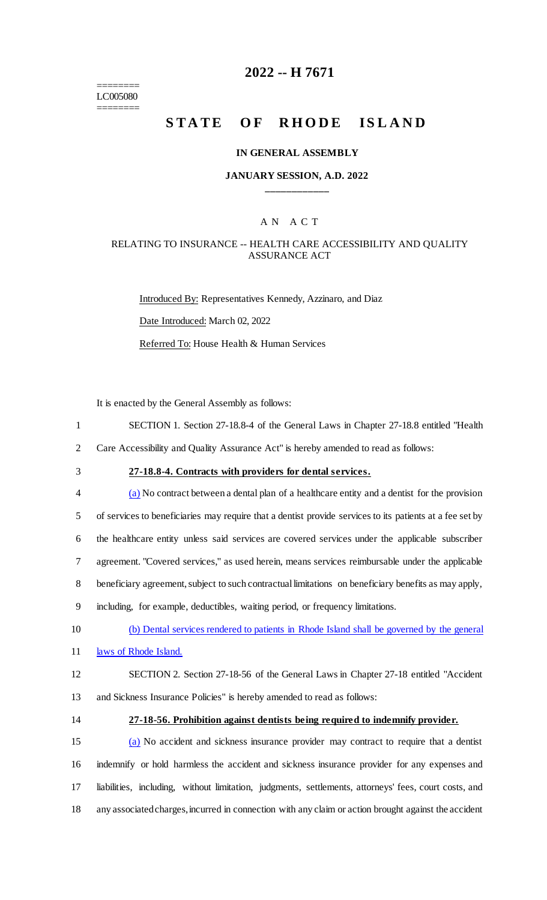======== LC005080 ========

# **2022 -- H 7671**

# **STATE OF RHODE ISLAND**

### **IN GENERAL ASSEMBLY**

### **JANUARY SESSION, A.D. 2022 \_\_\_\_\_\_\_\_\_\_\_\_**

# A N A C T

## RELATING TO INSURANCE -- HEALTH CARE ACCESSIBILITY AND QUALITY ASSURANCE ACT

Introduced By: Representatives Kennedy, Azzinaro, and Diaz Date Introduced: March 02, 2022 Referred To: House Health & Human Services

It is enacted by the General Assembly as follows:

1 SECTION 1. Section 27-18.8-4 of the General Laws in Chapter 27-18.8 entitled "Health

2 Care Accessibility and Quality Assurance Act" is hereby amended to read as follows:

# 3 **27-18.8-4. Contracts with providers for dental services.**

 (a) No contract between a dental plan of a healthcare entity and a dentist for the provision of services to beneficiaries may require that a dentist provide services to its patients at a fee set by the healthcare entity unless said services are covered services under the applicable subscriber agreement. "Covered services," as used herein, means services reimbursable under the applicable beneficiary agreement, subject to such contractual limitations on beneficiary benefits as may apply, including, for example, deductibles, waiting period, or frequency limitations. (b) Dental services rendered to patients in Rhode Island shall be governed by the general 11 laws of Rhode Island.

12 SECTION 2. Section 27-18-56 of the General Laws in Chapter 27-18 entitled "Accident

13 and Sickness Insurance Policies" is hereby amended to read as follows:

#### 14 **27-18-56. Prohibition against dentists being required to indemnify provider.**

 (a) No accident and sickness insurance provider may contract to require that a dentist indemnify or hold harmless the accident and sickness insurance provider for any expenses and liabilities, including, without limitation, judgments, settlements, attorneys' fees, court costs, and any associated charges, incurred in connection with any claim or action brought against the accident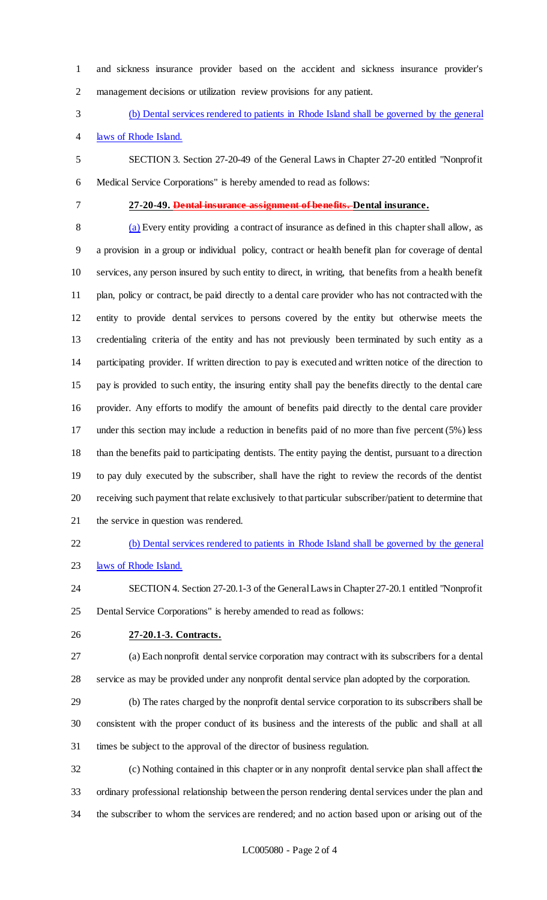and sickness insurance provider based on the accident and sickness insurance provider's management decisions or utilization review provisions for any patient.

(b) Dental services rendered to patients in Rhode Island shall be governed by the general

laws of Rhode Island.

 SECTION 3. Section 27-20-49 of the General Laws in Chapter 27-20 entitled "Nonprofit Medical Service Corporations" is hereby amended to read as follows:

**27-20-49. Dental insurance assignment of benefits. Dental insurance.**

 (a) Every entity providing a contract of insurance as defined in this chapter shall allow, as a provision in a group or individual policy, contract or health benefit plan for coverage of dental services, any person insured by such entity to direct, in writing, that benefits from a health benefit plan, policy or contract, be paid directly to a dental care provider who has not contracted with the entity to provide dental services to persons covered by the entity but otherwise meets the credentialing criteria of the entity and has not previously been terminated by such entity as a participating provider. If written direction to pay is executed and written notice of the direction to pay is provided to such entity, the insuring entity shall pay the benefits directly to the dental care provider. Any efforts to modify the amount of benefits paid directly to the dental care provider under this section may include a reduction in benefits paid of no more than five percent (5%) less than the benefits paid to participating dentists. The entity paying the dentist, pursuant to a direction to pay duly executed by the subscriber, shall have the right to review the records of the dentist receiving such payment that relate exclusively to that particular subscriber/patient to determine that the service in question was rendered.

(b) Dental services rendered to patients in Rhode Island shall be governed by the general

- 23 laws of Rhode Island.
- SECTION 4. Section 27-20.1-3 of the General Laws in Chapter 27-20.1 entitled "Nonprofit Dental Service Corporations" is hereby amended to read as follows:
- **27-20.1-3. Contracts.**
- (a) Each nonprofit dental service corporation may contract with its subscribers for a dental service as may be provided under any nonprofit dental service plan adopted by the corporation.
- (b) The rates charged by the nonprofit dental service corporation to its subscribers shall be consistent with the proper conduct of its business and the interests of the public and shall at all times be subject to the approval of the director of business regulation.

 (c) Nothing contained in this chapter or in any nonprofit dental service plan shall affect the ordinary professional relationship between the person rendering dental services under the plan and the subscriber to whom the services are rendered; and no action based upon or arising out of the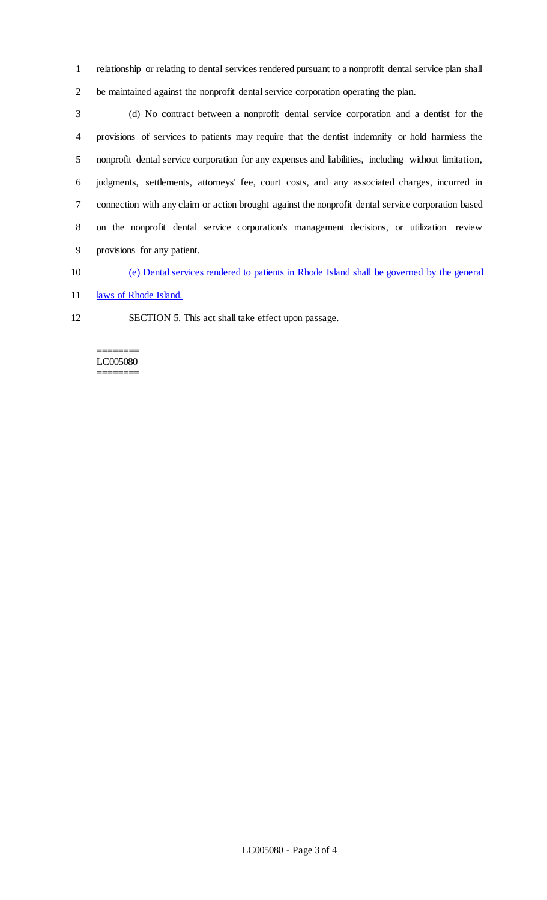relationship or relating to dental services rendered pursuant to a nonprofit dental service plan shall be maintained against the nonprofit dental service corporation operating the plan.

 (d) No contract between a nonprofit dental service corporation and a dentist for the provisions of services to patients may require that the dentist indemnify or hold harmless the nonprofit dental service corporation for any expenses and liabilities, including without limitation, judgments, settlements, attorneys' fee, court costs, and any associated charges, incurred in connection with any claim or action brought against the nonprofit dental service corporation based on the nonprofit dental service corporation's management decisions, or utilization review provisions for any patient.

(e) Dental services rendered to patients in Rhode Island shall be governed by the general

11 laws of Rhode Island.

SECTION 5. This act shall take effect upon passage.

======== LC005080 ========